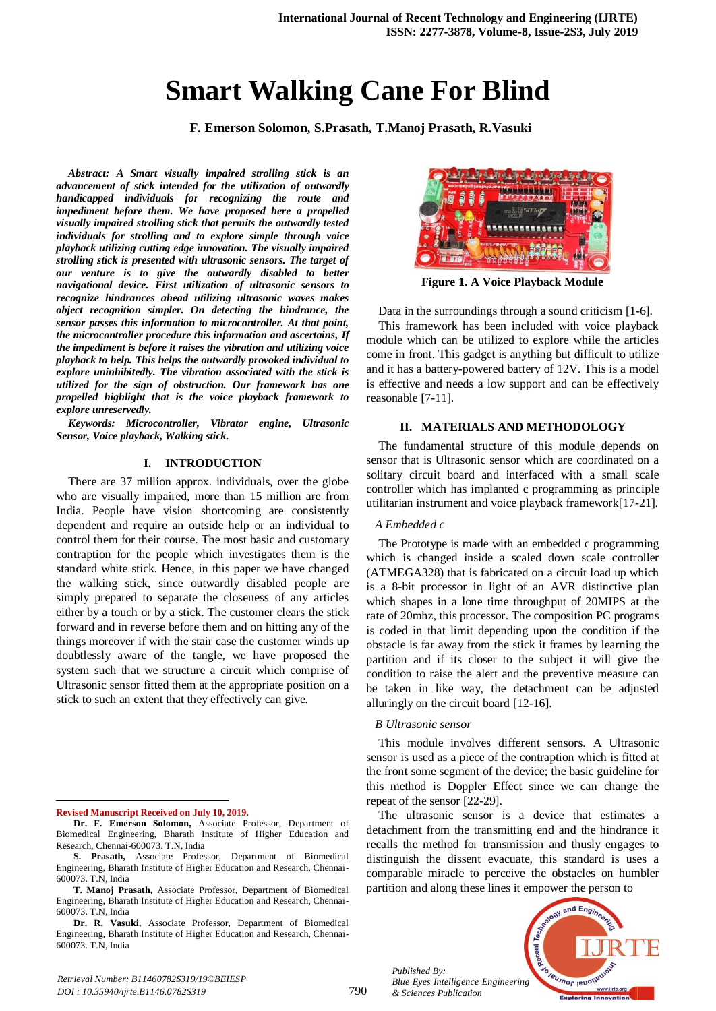# **Smart Walking Cane For Blind**

**F. Emerson Solomon, S.Prasath, T.Manoj Prasath, R.Vasuki**

*Abstract: A Smart visually impaired strolling stick is an advancement of stick intended for the utilization of outwardly handicapped individuals for recognizing the route and impediment before them. We have proposed here a propelled visually impaired strolling stick that permits the outwardly tested individuals for strolling and to explore simple through voice playback utilizing cutting edge innovation. The visually impaired strolling stick is presented with ultrasonic sensors. The target of our venture is to give the outwardly disabled to better navigational device. First utilization of ultrasonic sensors to recognize hindrances ahead utilizing ultrasonic waves makes object recognition simpler. On detecting the hindrance, the sensor passes this information to microcontroller. At that point, the microcontroller procedure this information and ascertains, If the impediment is before it raises the vibration and utilizing voice playback to help. This helps the outwardly provoked individual to explore uninhibitedly. The vibration associated with the stick is utilized for the sign of obstruction. Our framework has one propelled highlight that is the voice playback framework to explore unreservedly.*

*Keywords: Microcontroller, Vibrator engine, Ultrasonic Sensor, Voice playback, Walking stick.*

## **I. INTRODUCTION**

There are 37 million approx. individuals, over the globe who are visually impaired, more than 15 million are from India. People have vision shortcoming are consistently dependent and require an outside help or an individual to control them for their course. The most basic and customary contraption for the people which investigates them is the standard white stick. Hence, in this paper we have changed the walking stick, since outwardly disabled people are simply prepared to separate the closeness of any articles either by a touch or by a stick. The customer clears the stick forward and in reverse before them and on hitting any of the things moreover if with the stair case the customer winds up doubtlessly aware of the tangle, we have proposed the system such that we structure a circuit which comprise of Ultrasonic sensor fitted them at the appropriate position on a stick to such an extent that they effectively can give.

1 **Revised Manuscript Received on July 10, 2019.**



**Figure 1. A Voice Playback Module**

Data in the surroundings through a sound criticism [1-6]. This framework has been included with voice playback module which can be utilized to explore while the articles come in front. This gadget is anything but difficult to utilize and it has a battery-powered battery of 12V. This is a model is effective and needs a low support and can be effectively reasonable [7-11].

# **II. MATERIALS AND METHODOLOGY**

The fundamental structure of this module depends on sensor that is Ultrasonic sensor which are coordinated on a solitary circuit board and interfaced with a small scale controller which has implanted c programming as principle utilitarian instrument and voice playback framework[17-21].

#### *A Embedded c*

The Prototype is made with an embedded c programming which is changed inside a scaled down scale controller (ATMEGA328) that is fabricated on a circuit load up which is a 8-bit processor in light of an AVR distinctive plan which shapes in a lone time throughput of 20MIPS at the rate of 20mhz, this processor. The composition PC programs is coded in that limit depending upon the condition if the obstacle is far away from the stick it frames by learning the partition and if its closer to the subject it will give the condition to raise the alert and the preventive measure can be taken in like way, the detachment can be adjusted alluringly on the circuit board [12-16].

#### *B Ultrasonic sensor*

This module involves different sensors. A Ultrasonic sensor is used as a piece of the contraption which is fitted at the front some segment of the device; the basic guideline for this method is Doppler Effect since we can change the repeat of the sensor [22-29].

The ultrasonic sensor is a device that estimates a detachment from the transmitting end and the hindrance it recalls the method for transmission and thusly engages to distinguish the dissent evacuate, this standard is uses a comparable miracle to perceive the obstacles on humbler partition and along these lines it empower the person to

*Published By: Blue Eyes Intelligence Engineering & Sciences Publication* 



**Dr. F. Emerson Solomon,** Associate Professor, Department of Biomedical Engineering, Bharath Institute of Higher Education and Research, Chennai-600073. T.N, India

**S. Prasath,** Associate Professor, Department of Biomedical Engineering, Bharath Institute of Higher Education and Research, Chennai-600073. T.N, India

**T. Manoj Prasath,** Associate Professor, Department of Biomedical Engineering, Bharath Institute of Higher Education and Research, Chennai-600073. T.N, India

**Dr. R. Vasuki,** Associate Professor, Department of Biomedical Engineering, Bharath Institute of Higher Education and Research, Chennai-600073. T.N, India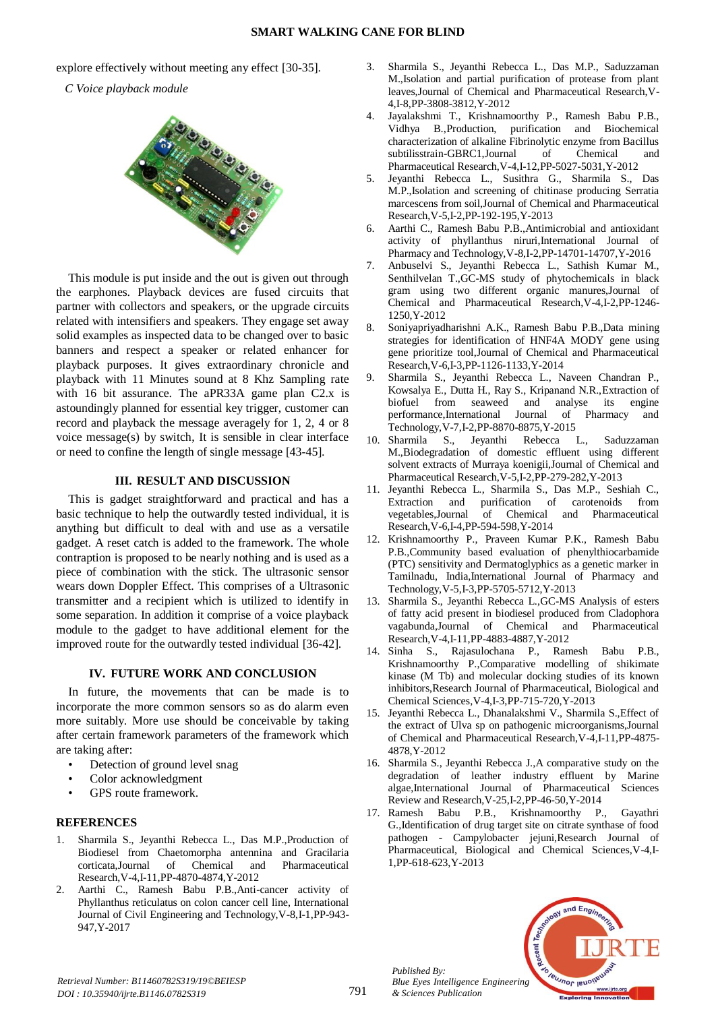explore effectively without meeting any effect [30-35].

*C Voice playback module*



This module is put inside and the out is given out through the earphones. Playback devices are fused circuits that partner with collectors and speakers, or the upgrade circuits related with intensifiers and speakers. They engage set away solid examples as inspected data to be changed over to basic banners and respect a speaker or related enhancer for playback purposes. It gives extraordinary chronicle and playback with 11 Minutes sound at 8 Khz Sampling rate with 16 bit assurance. The aPR33A game plan C2.x is astoundingly planned for essential key trigger, customer can record and playback the message averagely for 1, 2, 4 or 8 voice message(s) by switch, It is sensible in clear interface or need to confine the length of single message [43-45].

## **III. RESULT AND DISCUSSION**

This is gadget straightforward and practical and has a basic technique to help the outwardly tested individual, it is anything but difficult to deal with and use as a versatile gadget. A reset catch is added to the framework. The whole contraption is proposed to be nearly nothing and is used as a piece of combination with the stick. The ultrasonic sensor wears down Doppler Effect. This comprises of a Ultrasonic transmitter and a recipient which is utilized to identify in some separation. In addition it comprise of a voice playback module to the gadget to have additional element for the improved route for the outwardly tested individual [36-42].

## **IV. FUTURE WORK AND CONCLUSION**

In future, the movements that can be made is to incorporate the more common sensors so as do alarm even more suitably. More use should be conceivable by taking after certain framework parameters of the framework which are taking after:

- Detection of ground level snag
- Color acknowledgment
- GPS route framework.

# **REFERENCES**

- 1. Sharmila S., Jeyanthi Rebecca L., Das M.P.,Production of Biodiesel from Chaetomorpha antennina and Gracilaria corticata,Journal of Chemical and Pharmaceutical Research,V-4,I-11,PP-4870-4874,Y-2012
- 2. Aarthi C., Ramesh Babu P.B.,Anti-cancer activity of Phyllanthus reticulatus on colon cancer cell line, International Journal of Civil Engineering and Technology,V-8,I-1,PP-943- 947,Y-2017
- 3. Sharmila S., Jeyanthi Rebecca L., Das M.P., Saduzzaman M.,Isolation and partial purification of protease from plant leaves,Journal of Chemical and Pharmaceutical Research,V-4,I-8,PP-3808-3812,Y-2012
- 4. Jayalakshmi T., Krishnamoorthy P., Ramesh Babu P.B., Vidhya B.,Production, purification and Biochemical characterization of alkaline Fibrinolytic enzyme from Bacillus subtilisstrain-GBRC1,Journal of Chemical and Pharmaceutical Research,V-4,I-12,PP-5027-5031,Y-2012
- 5. Jeyanthi Rebecca L., Susithra G., Sharmila S., Das M.P.,Isolation and screening of chitinase producing Serratia marcescens from soil,Journal of Chemical and Pharmaceutical Research,V-5,I-2,PP-192-195,Y-2013
- 6. Aarthi C., Ramesh Babu P.B.,Antimicrobial and antioxidant activity of phyllanthus niruri,International Journal of Pharmacy and Technology,V-8,I-2,PP-14701-14707,Y-2016
- 7. Anbuselvi S., Jeyanthi Rebecca L., Sathish Kumar M., Senthilvelan T.,GC-MS study of phytochemicals in black gram using two different organic manures,Journal of Chemical and Pharmaceutical Research,V-4,I-2,PP-1246- 1250,Y-2012
- 8. Soniyapriyadharishni A.K., Ramesh Babu P.B.,Data mining strategies for identification of HNF4A MODY gene using gene prioritize tool,Journal of Chemical and Pharmaceutical Research,V-6,I-3,PP-1126-1133,Y-2014
- 9. Sharmila S., Jeyanthi Rebecca L., Naveen Chandran P., Kowsalya E., Dutta H., Ray S., Kripanand N.R.,Extraction of biofuel from seaweed and analyse its engine performance,International Journal of Pharmacy and Technology,V-7,I-2,PP-8870-8875,Y-2015
- 10. Sharmila S., Jeyanthi Rebecca L., Saduzzaman M.,Biodegradation of domestic effluent using different solvent extracts of Murraya koenigii,Journal of Chemical and Pharmaceutical Research,V-5,I-2,PP-279-282,Y-2013
- 11. Jeyanthi Rebecca L., Sharmila S., Das M.P., Seshiah C., Extraction and purification of carotenoids from vegetables,Journal of Chemical and Pharmaceutical Research,V-6,I-4,PP-594-598,Y-2014
- 12. Krishnamoorthy P., Praveen Kumar P.K., Ramesh Babu P.B.,Community based evaluation of phenylthiocarbamide (PTC) sensitivity and Dermatoglyphics as a genetic marker in Tamilnadu, India,International Journal of Pharmacy and Technology,V-5,I-3,PP-5705-5712,Y-2013
- 13. Sharmila S., Jeyanthi Rebecca L.,GC-MS Analysis of esters of fatty acid present in biodiesel produced from Cladophora vagabunda,Journal of Chemical and Pharmaceutical Research,V-4,I-11,PP-4883-4887,Y-2012
- 14. Sinha S., Rajasulochana P., Ramesh Babu P.B., Krishnamoorthy P.,Comparative modelling of shikimate kinase (M Tb) and molecular docking studies of its known inhibitors,Research Journal of Pharmaceutical, Biological and Chemical Sciences,V-4,I-3,PP-715-720,Y-2013
- 15. Jeyanthi Rebecca L., Dhanalakshmi V., Sharmila S.,Effect of the extract of Ulva sp on pathogenic microorganisms,Journal of Chemical and Pharmaceutical Research,V-4,I-11,PP-4875- 4878,Y-2012
- 16. Sharmila S., Jeyanthi Rebecca J.,A comparative study on the degradation of leather industry effluent by Marine algae,International Journal of Pharmaceutical Sciences Review and Research,V-25,I-2,PP-46-50,Y-2014
- 17. Ramesh Babu P.B., Krishnamoorthy P., Gayathri G.,Identification of drug target site on citrate synthase of food pathogen - Campylobacter jejuni,Research Journal of Pharmaceutical, Biological and Chemical Sciences,V-4,I-1,PP-618-623,Y-2013



*Published By:*

*& Sciences Publication*